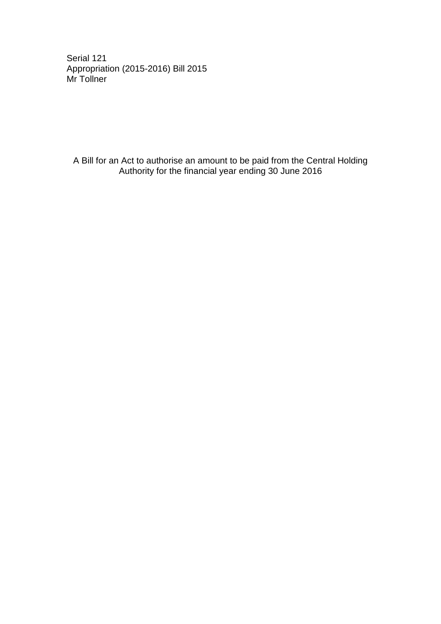Serial 121 Appropriation (2015-2016) Bill 2015 Mr Tollner

A Bill for an Act to authorise an amount to be paid from the Central Holding Authority for the financial year ending 30 June 2016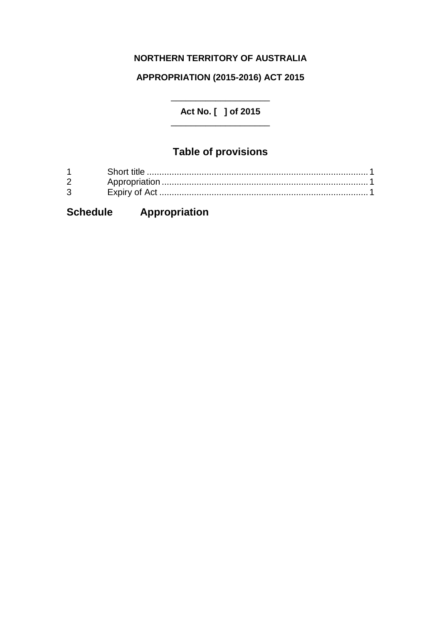## **NORTHERN TERRITORY OF AUSTRALIA**

### **APPROPRIATION (2015-2016) ACT 2015**

\_\_\_\_\_\_\_\_\_\_\_\_\_\_\_\_\_\_\_\_ **Act No. [ ] of 2015** \_\_\_\_\_\_\_\_\_\_\_\_\_\_\_\_\_\_\_\_

## **Table of provisions**

| 2            |  |
|--------------|--|
| $\mathbf{3}$ |  |

# **Schedule Appropriation**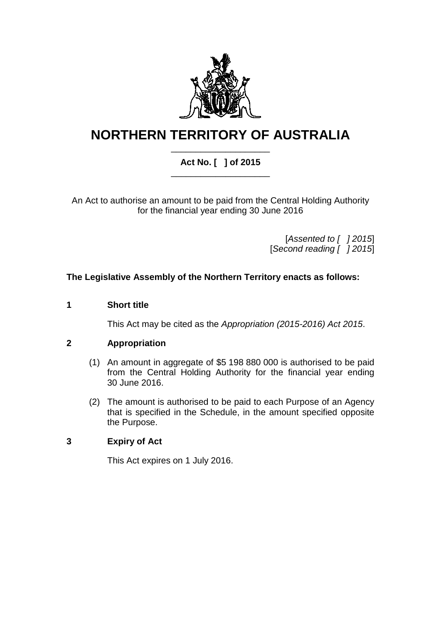

# **NORTHERN TERRITORY OF AUSTRALIA**

#### \_\_\_\_\_\_\_\_\_\_\_\_\_\_\_\_\_\_\_\_ **Act No. [ ] of 2015** \_\_\_\_\_\_\_\_\_\_\_\_\_\_\_\_\_\_\_\_

An Act to authorise an amount to be paid from the Central Holding Authority for the financial year ending 30 June 2016

> [*Assented to [ ] 2015*] [*Second reading [ ] 2015*]

#### **The Legislative Assembly of the Northern Territory enacts as follows:**

#### **1 Short title**

This Act may be cited as the *Appropriation (2015-2016) Act 2015*.

#### **2 Appropriation**

- (1) An amount in aggregate of \$5 198 880 000 is authorised to be paid from the Central Holding Authority for the financial year ending 30 June 2016.
- (2) The amount is authorised to be paid to each Purpose of an Agency that is specified in the Schedule, in the amount specified opposite the Purpose.

#### **3 Expiry of Act**

This Act expires on 1 July 2016.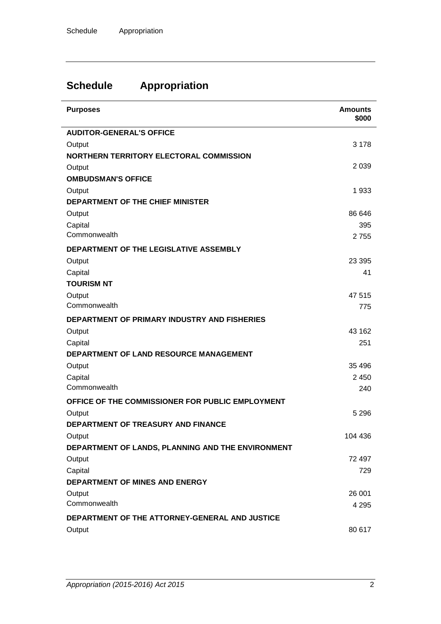# **Schedule Appropriation**

| <b>Purposes</b>                                     | <b>Amounts</b><br>\$000 |
|-----------------------------------------------------|-------------------------|
| <b>AUDITOR-GENERAL'S OFFICE</b>                     |                         |
| Output                                              | 3 1 7 8                 |
| NORTHERN TERRITORY ELECTORAL COMMISSION             |                         |
| Output                                              | 2 0 3 9                 |
| <b>OMBUDSMAN'S OFFICE</b>                           |                         |
| Output                                              | 1933                    |
| <b>DEPARTMENT OF THE CHIEF MINISTER</b>             |                         |
| Output                                              | 86 646                  |
| Capital                                             | 395                     |
| Commonwealth                                        | 2755                    |
| DEPARTMENT OF THE LEGISLATIVE ASSEMBLY              |                         |
| Output                                              | 23 3 95                 |
| Capital                                             | 41                      |
| <b>TOURISM NT</b>                                   |                         |
| Output                                              | 47 515                  |
| Commonwealth                                        | 775                     |
| <b>DEPARTMENT OF PRIMARY INDUSTRY AND FISHERIES</b> |                         |
| Output                                              | 43 162                  |
| Capital                                             | 251                     |
| DEPARTMENT OF LAND RESOURCE MANAGEMENT              |                         |
| Output                                              | 35 4 96                 |
| Capital                                             | 2 4 5 0                 |
| Commonwealth                                        | 240                     |
| OFFICE OF THE COMMISSIONER FOR PUBLIC EMPLOYMENT    |                         |
| Output                                              | 5 2 9 6                 |
| DEPARTMENT OF TREASURY AND FINANCE                  |                         |
| Output                                              | 104 436                 |
| DEPARTMENT OF LANDS, PLANNING AND THE ENVIRONMENT   |                         |
| Output                                              | 72 497                  |
| Capital                                             | 729                     |
| <b>DEPARTMENT OF MINES AND ENERGY</b>               |                         |
| Output                                              | 26 001                  |
| Commonwealth                                        | 4 2 9 5                 |
| DEPARTMENT OF THE ATTORNEY-GENERAL AND JUSTICE      |                         |
| Output                                              | 80 617                  |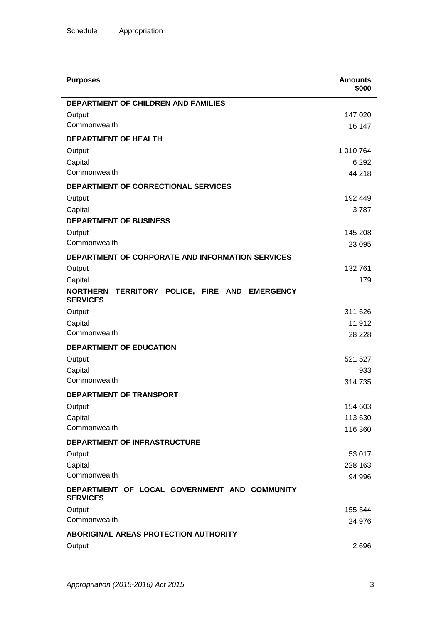| 147 020<br>16 147<br>1 010 764<br>6 2 9 2<br>44 218<br>192 449<br>3787<br>145 208 |
|-----------------------------------------------------------------------------------|
|                                                                                   |
|                                                                                   |
|                                                                                   |
|                                                                                   |
|                                                                                   |
|                                                                                   |
|                                                                                   |
|                                                                                   |
|                                                                                   |
|                                                                                   |
|                                                                                   |
|                                                                                   |
| 23 0 95                                                                           |
|                                                                                   |
| 132 761                                                                           |
| 179                                                                               |
|                                                                                   |
| 311 626                                                                           |
| 11 912                                                                            |
| 28 2 28                                                                           |
|                                                                                   |
| 521 527                                                                           |
| 933                                                                               |
| 314 735                                                                           |
|                                                                                   |
| 154 603                                                                           |
| 113 630                                                                           |
| 116 360                                                                           |
|                                                                                   |
| 53 017                                                                            |
| 228 163                                                                           |
| 94 996                                                                            |
|                                                                                   |
| 155 544                                                                           |
| 24 976                                                                            |
|                                                                                   |
| 2696                                                                              |
|                                                                                   |